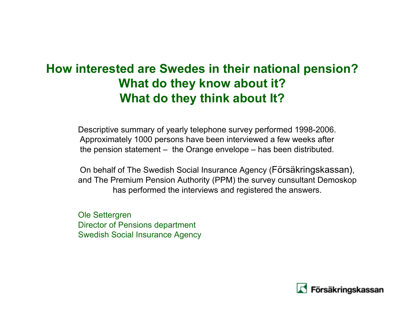### **How interested are Swedes in their national pension? What do they know about it? What do they think about It?**

Descriptive summary of yearly telephone survey performed 1998-2006. Approximately 1000 persons have been interviewed a few weeks after the pension statement – the Orange envelope – has been distributed.

On behalf of The Swedish Social Insurance Agency (Försäkringskassan), and The Premium Pension Authority (PPM) the survey cunsultant Demoskop has performed the interviews and registered the answers.

Ole Settergren Director of Pensions department Swedish Social Insurance Agency

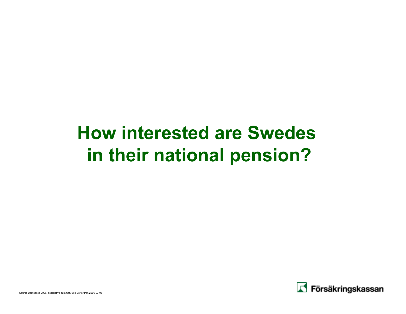# **How interested are Swedes in their national pension?**

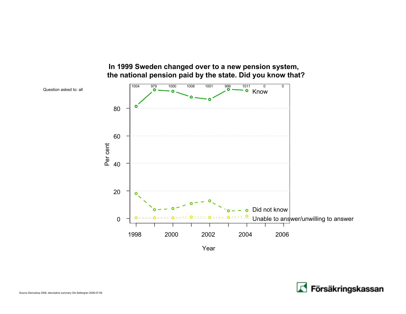

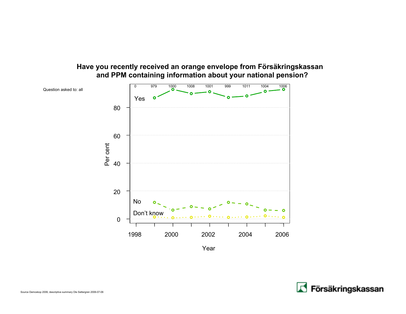#### **Have you recently received an orange envelope from Försäkringskassan and PPM containing information about your national pension?**



Year

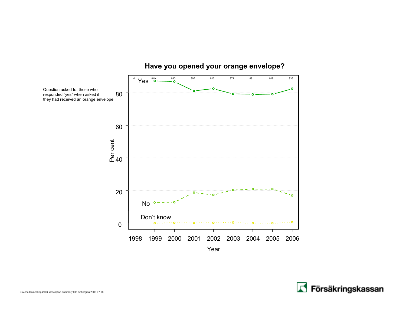

#### **Have you opened your orange envelope?**

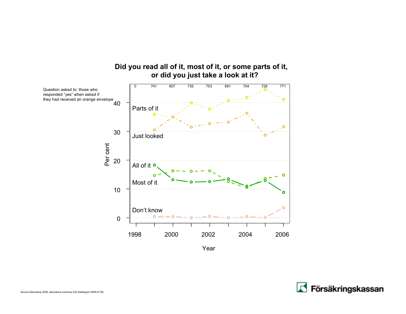

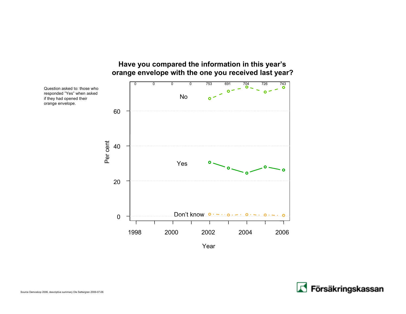

### **Have you compared the information in this year's**

Year

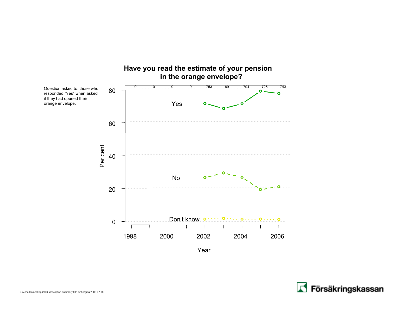

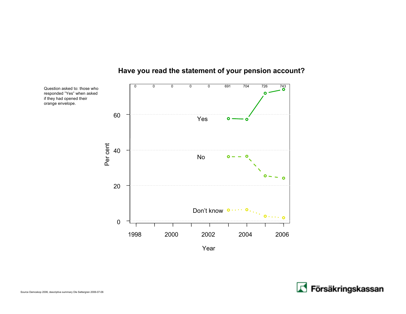

#### **Have you read the statement of your pension account?**



if they had opened their orange envelope.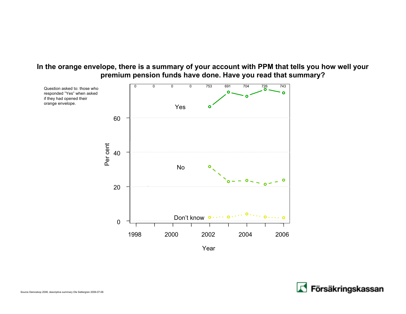#### **In the orange envelope, there is a summary of your account with PPM that tells you how well your premium pension funds have done. Have you read that summary?**



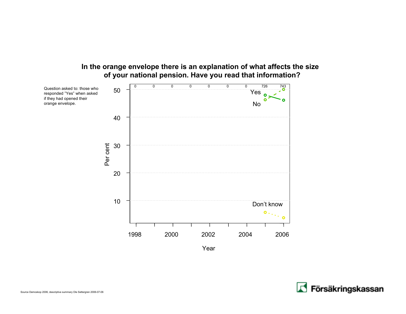#### **In the orange envelope there is an explanation of what affects the size of your national pension. Have you read that information?**





orange envelope.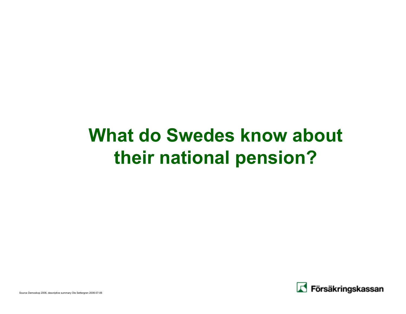# **What do Swedes know about their national pension?**

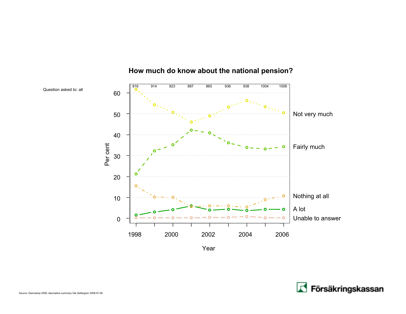

#### **How much do know about the national pension?**

Year

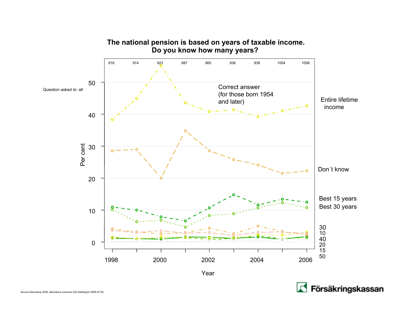

Försäkringskassan

#### **The national pension is based on years of taxable income. Do you know how many years?**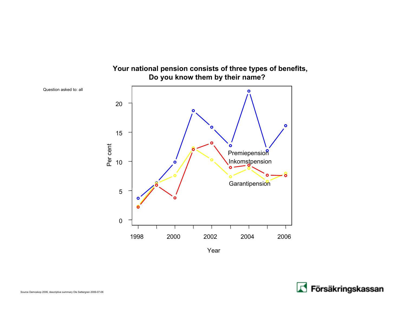

**Your national pension consists of three types of benefits,**

### **Do you know them by their name?**

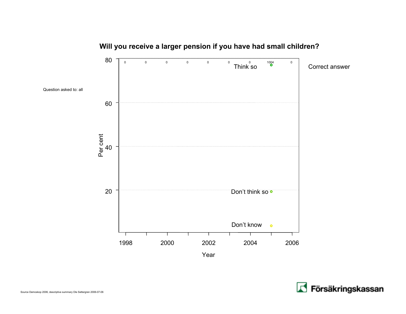

#### **Will you receive a larger pension if you have had small children?**

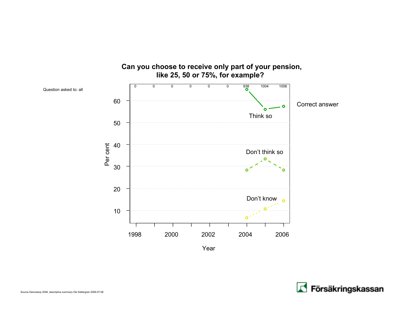

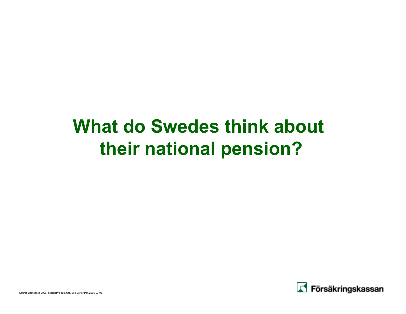# **What do Swedes think about their national pension?**

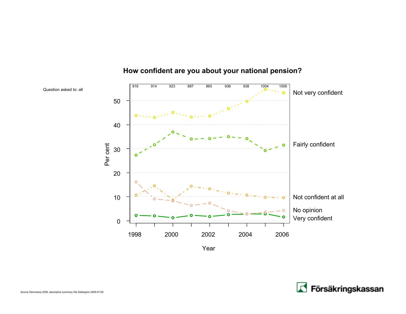

#### **How confident are you about your national pension?**

Year

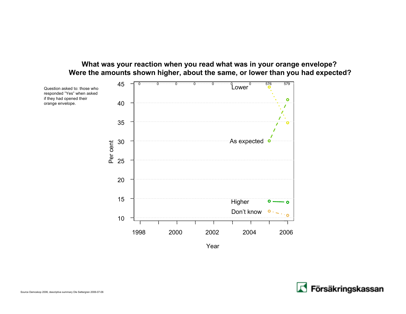#### **What was your reaction when you read what was in your orange envelope? Were the amounts shown higher, about the same, or lower than you had expected?**



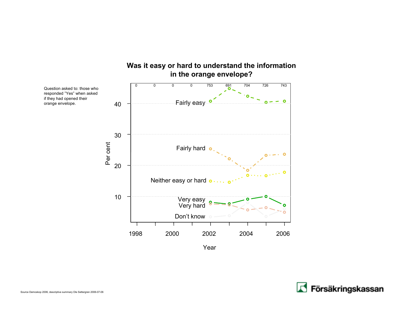

### **Was it easy or hard to understand the information**

Year

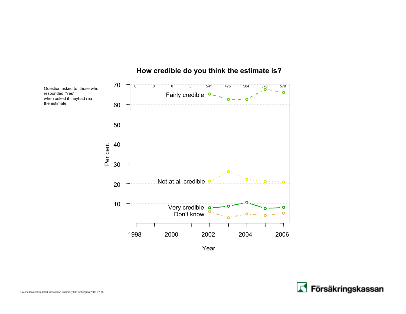

#### **How credible do you think the estimate is?**

Year



responded "Yes"

the estimate.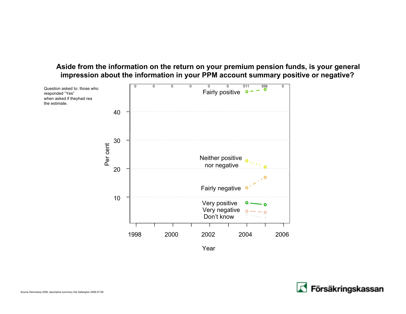#### **Aside from the information on the return on your premium pension funds, is your general impression about the information in your PPM account summary positive or negative?**



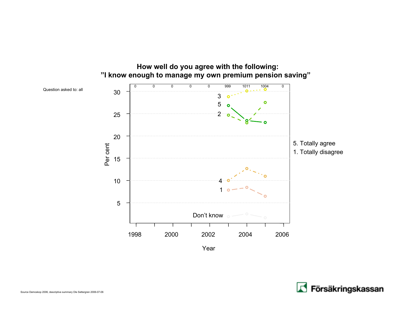

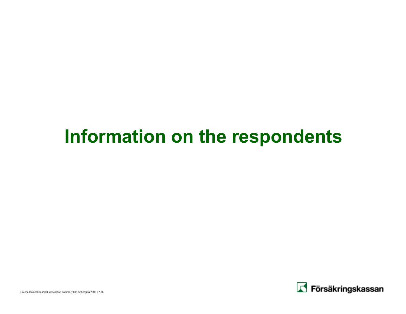## **Information on the respondents**

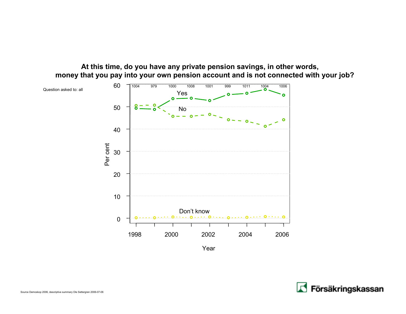#### **At this time, do you have any private pension savings, in other words, money that you pay into your own pension account and is not connected with your job?**



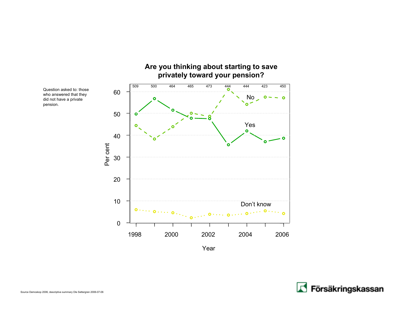

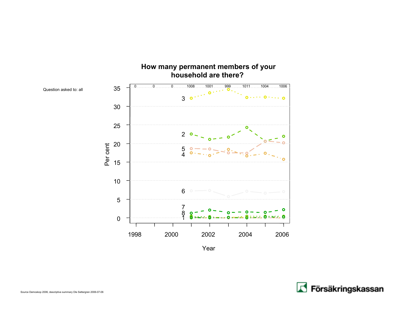

Question asked to: all

Year

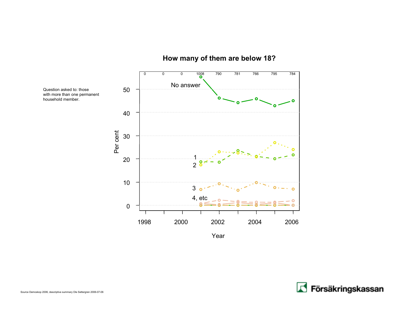

#### **How many of them are below 18?**

Year



Question asked to: those

household member.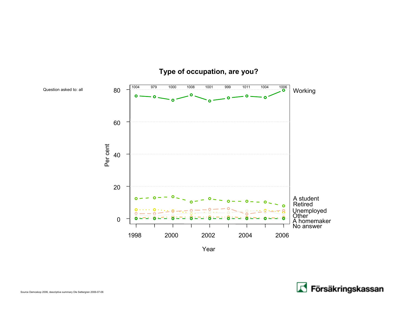

#### **Type of occupation, are you?**

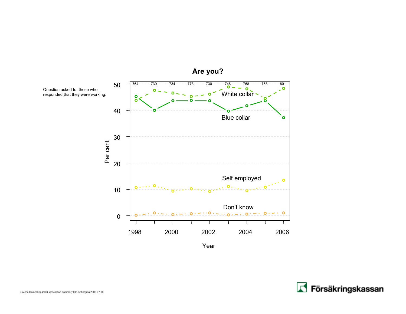



Question asked to: those whoresponded that they were working.

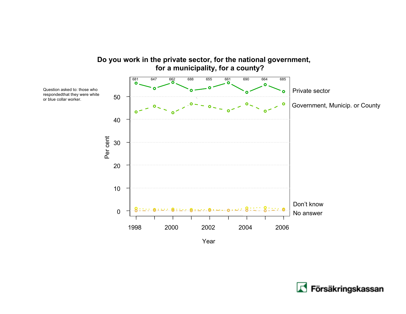

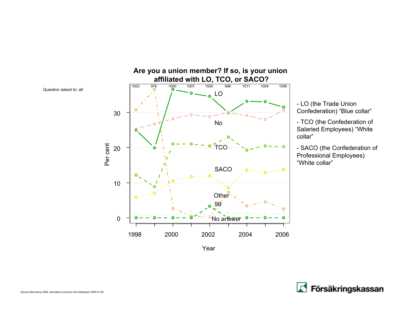

- LO (the Trade Union Confederation) "Blue collar"

- TCO (the Confederation of Salaried Employees) "White collar"

- SACO (the Confederation of Professional Employees) "White collar"

Year

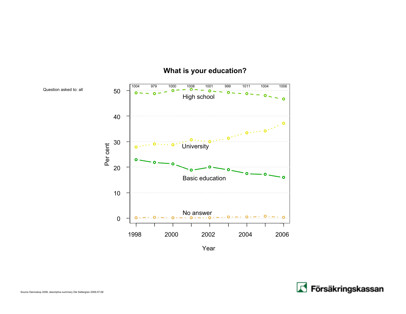

#### **What is your education?**

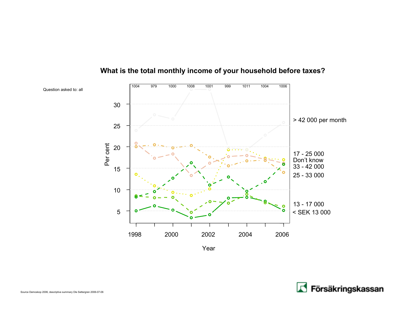

#### **What is the total monthly income of your household before taxes?**

Year

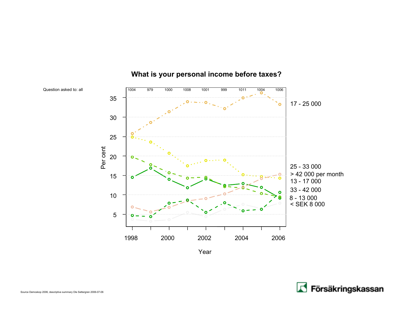

#### **What is your personal income before taxes?**